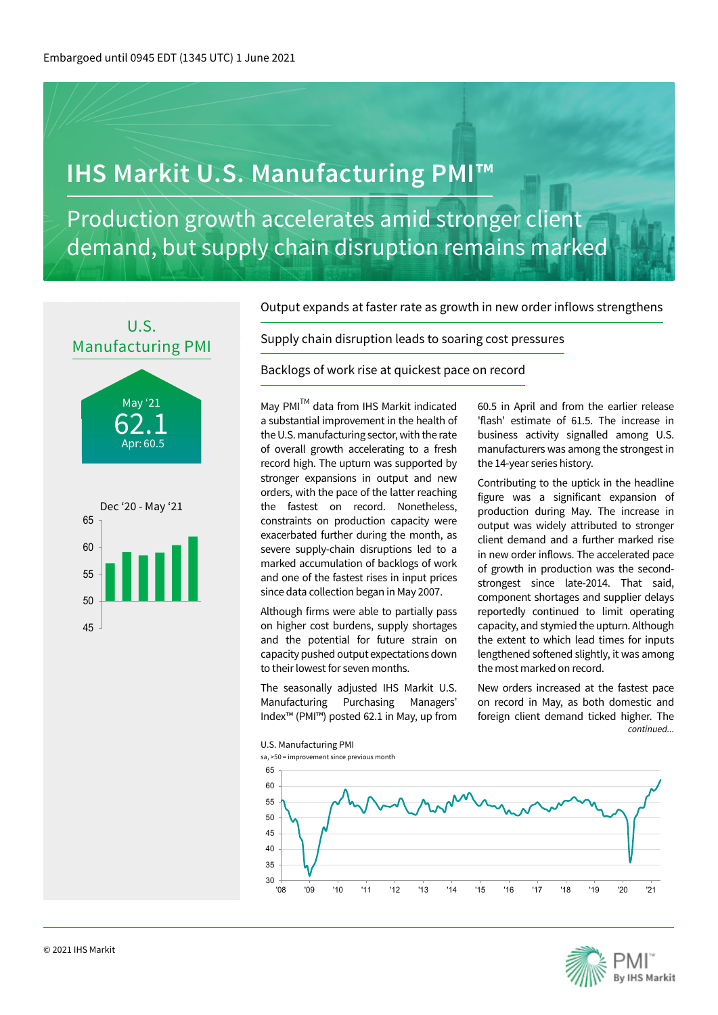# **IHS Markit U.S. Manufacturing PMI™**

Production growth accelerates amid stronger client demand, but supply chain disruption remains marked



62.1 May '21 Apr: 60.5



Output expands at faster rate as growth in new order inflows strengthens

Supply chain disruption leads to soaring cost pressures

Backlogs of work rise at quickest pace on record

May PMI<sup>TM</sup> data from IHS Markit indicated a substantial improvement in the health of the U.S. manufacturing sector, with the rate of overall growth accelerating to a fresh record high. The upturn was supported by stronger expansions in output and new orders, with the pace of the latter reaching the fastest on record. Nonetheless, constraints on production capacity were exacerbated further during the month, as severe supply-chain disruptions led to a marked accumulation of backlogs of work and one of the fastest rises in input prices since data collection began in May 2007.

Although firms were able to partially pass on higher cost burdens, supply shortages and the potential for future strain on capacity pushed output expectations down to their lowest for seven months.

The seasonally adjusted IHS Markit U.S. Manufacturing Purchasing Managers' Index™ (PMI™) posted 62.1 in May, up from

60.5 in April and from the earlier release 'flash' estimate of 61.5. The increase in business activity signalled among U.S. manufacturers was among the strongest in the 14-year series history.

Contributing to the uptick in the headline figure was a significant expansion of production during May. The increase in output was widely attributed to stronger client demand and a further marked rise in new order inflows. The accelerated pace of growth in production was the secondstrongest since late-2014. That said, component shortages and supplier delays reportedly continued to limit operating capacity, and stymied the upturn. Although the extent to which lead times for inputs lengthened softened slightly, it was among the most marked on record.

New orders increased at the fastest pace on record in May, as both domestic and foreign client demand ticked higher. The *continued...*



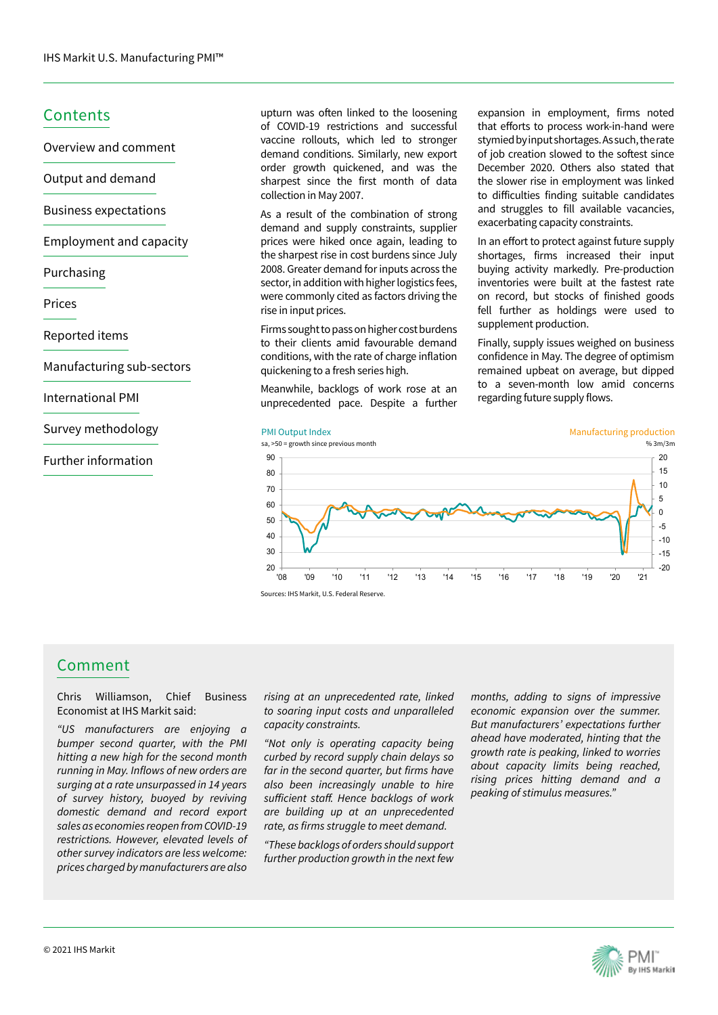### **Contents**

Overview and comment

Output and demand

Business expectations

Employment and capacity

#### Purchasing

Prices

Reported items

Manufacturing sub-sectors

International PMI

Survey methodology

### Further information

upturn was often linked to the loosening of COVID-19 restrictions and successful vaccine rollouts, which led to stronger demand conditions. Similarly, new export order growth quickened, and was the sharpest since the first month of data collection in May 2007.

As a result of the combination of strong demand and supply constraints, supplier prices were hiked once again, leading to the sharpest rise in cost burdens since July 2008. Greater demand for inputs across the sector, in addition with higher logistics fees, were commonly cited as factors driving the rise in input prices.

Firms sought to pass on higher cost burdens to their clients amid favourable demand conditions, with the rate of charge inflation quickening to a fresh series high.

Meanwhile, backlogs of work rose at an unprecedented pace. Despite a further

expansion in employment, firms noted that efforts to process work-in-hand were stymied by input shortages. As such, the rate of job creation slowed to the softest since December 2020. Others also stated that the slower rise in employment was linked to difficulties finding suitable candidates and struggles to fill available vacancies, exacerbating capacity constraints.

In an effort to protect against future supply shortages, firms increased their input buying activity markedly. Pre-production inventories were built at the fastest rate on record, but stocks of finished goods fell further as holdings were used to supplement production.

Finally, supply issues weighed on business confidence in May. The degree of optimism remained upbeat on average, but dipped to a seven-month low amid concerns regarding future supply flows.





# Comment

Chris Williamson, Chief Business Economist at IHS Markit said:

*"US manufacturers are enjoying a bumper second quarter, with the PMI hitting a new high for the second month*  running in May. Inflows of new orders are *surging at a rate unsurpassed in 14 years of survey history, buoyed by reviving domestic demand and record export sales as economies reopen from COVID-19 restrictions. However, elevated levels of other survey indicators are less welcome: prices charged by manufacturers are also* 

*rising at an unprecedented rate, linked to soaring input costs and unparalleled capacity constraints.* 

*"Not only is operating capacity being curbed by record supply chain delays so*  far in the second quarter, but firms have *also been increasingly unable to hire*  sufficient staff. Hence backlogs of work *are building up at an unprecedented*  rate, as firms struggle to meet demand.

*"These backlogs of orders should support further production growth in the next few* 

*months, adding to signs of impressive economic expansion over the summer. But manufacturers' expectations further ahead have moderated, hinting that the growth rate is peaking, linked to worries about capacity limits being reached, rising prices hitting demand and a peaking of stimulus measures."* 

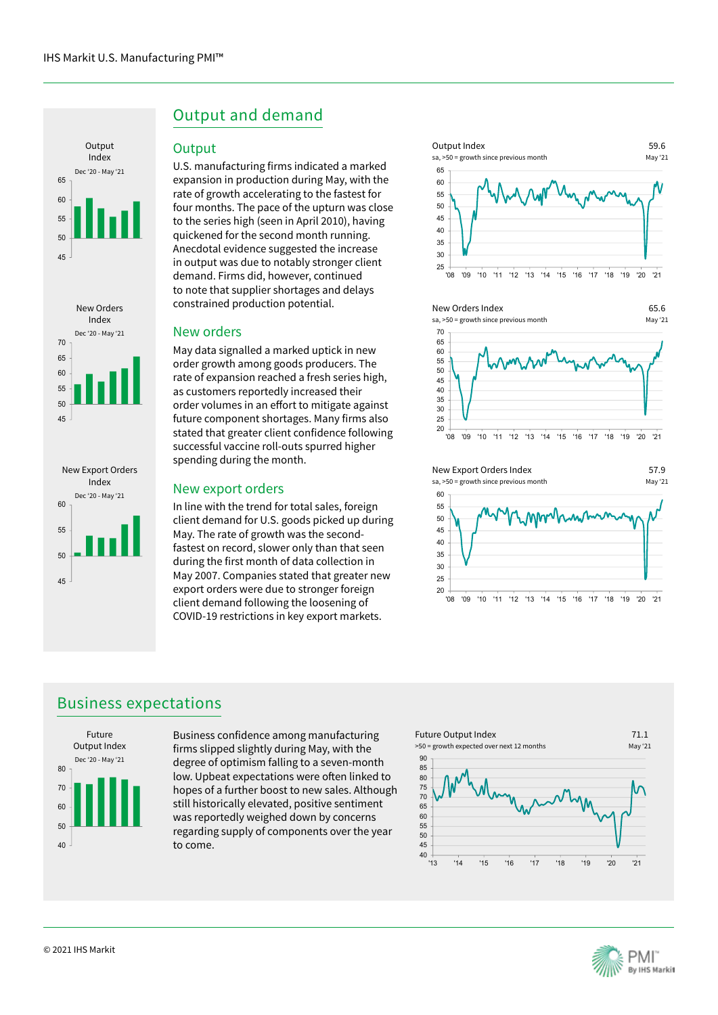





# Output and demand

### **Output**

U.S. manufacturing firms indicated a marked expansion in production during May, with the rate of growth accelerating to the fastest for four months. The pace of the upturn was close to the series high (seen in April 2010), having quickened for the second month running. Anecdotal evidence suggested the increase in output was due to notably stronger client demand. Firms did, however, continued to note that supplier shortages and delays constrained production potential.

### New orders

May data signalled a marked uptick in new order growth among goods producers. The rate of expansion reached a fresh series high, as customers reportedly increased their order volumes in an effort to mitigate against future component shortages. Many firms also stated that greater client confidence following successful vaccine roll-outs spurred higher spending during the month.

### New export orders

In line with the trend for total sales, foreign client demand for U.S. goods picked up during May. The rate of growth was the secondfastest on record, slower only than that seen during the first month of data collection in May 2007. Companies stated that greater new export orders were due to stronger foreign client demand following the loosening of COVID-19 restrictions in key export markets.







# Business expectations



Business confidence among manufacturing firms slipped slightly during May, with the degree of optimism falling to a seven-month low. Upbeat expectations were often linked to hopes of a further boost to new sales. Although still historically elevated, positive sentiment was reportedly weighed down by concerns regarding supply of components over the year to come.



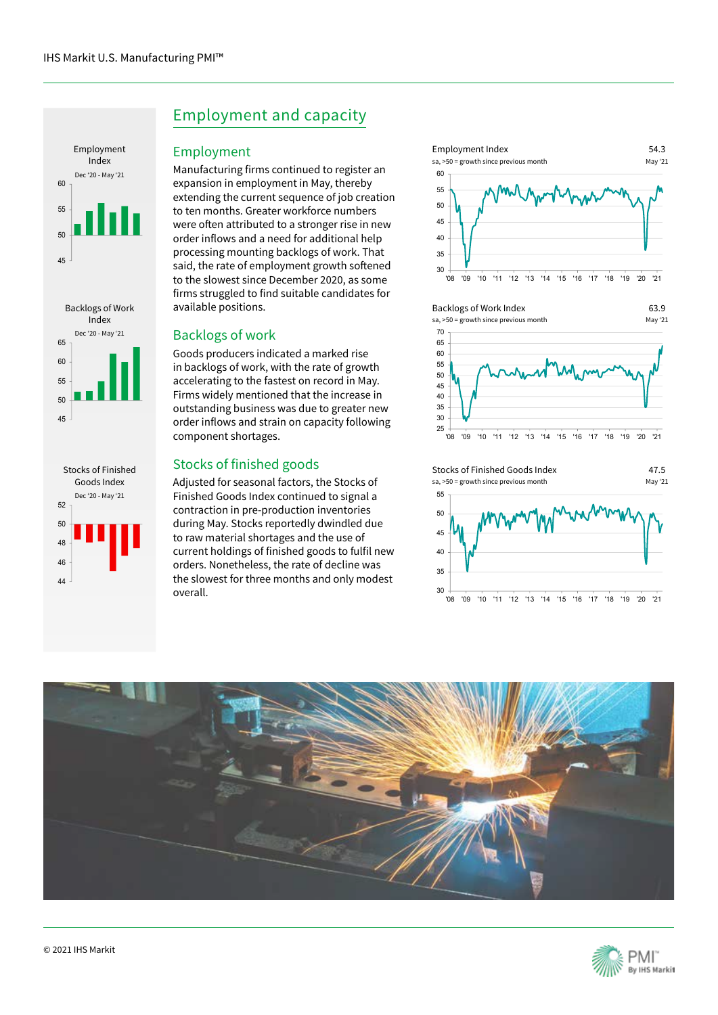





# Employment and capacity

### Employment

Manufacturing firms continued to register an expansion in employment in May, thereby extending the current sequence of job creation to ten months. Greater workforce numbers were often attributed to a stronger rise in new order inflows and a need for additional help processing mounting backlogs of work. That said, the rate of employment growth softened to the slowest since December 2020, as some firms struggled to find suitable candidates for available positions.

### Backlogs of work

Goods producers indicated a marked rise in backlogs of work, with the rate of growth accelerating to the fastest on record in May. Firms widely mentioned that the increase in outstanding business was due to greater new order inflows and strain on capacity following component shortages.

### Stocks of finished goods

Adjusted for seasonal factors, the Stocks of Finished Goods Index continued to signal a contraction in pre-production inventories during May. Stocks reportedly dwindled due to raw material shortages and the use of current holdings of finished goods to fulfil new orders. Nonetheless, the rate of decline was the slowest for three months and only modest overall.









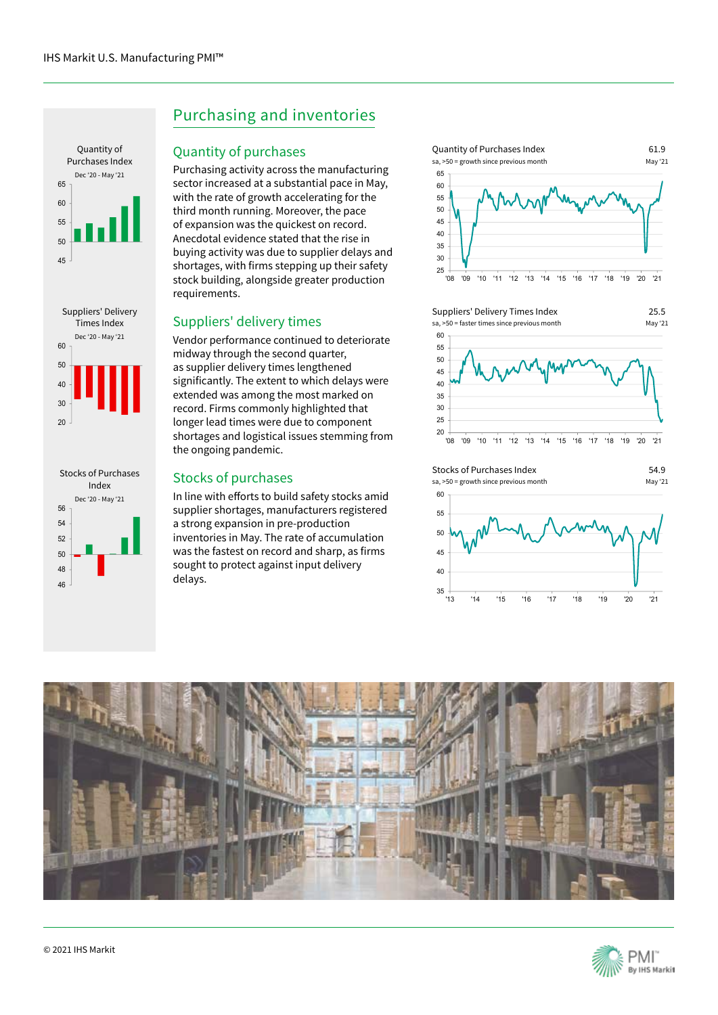





# Purchasing and inventories

### Quantity of purchases

Purchasing activity across the manufacturing sector increased at a substantial pace in May, with the rate of growth accelerating for the third month running. Moreover, the pace of expansion was the quickest on record. Anecdotal evidence stated that the rise in buying activity was due to supplier delays and shortages, with firms stepping up their safety stock building, alongside greater production requirements.

### Suppliers' delivery times

Vendor performance continued to deteriorate midway through the second quarter, as supplier delivery times lengthened significantly. The extent to which delays were extended was among the most marked on record. Firms commonly highlighted that longer lead times were due to component shortages and logistical issues stemming from the ongoing pandemic.

### Stocks of purchases

In line with efforts to build safety stocks amid supplier shortages, manufacturers registered a strong expansion in pre-production inventories in May. The rate of accumulation was the fastest on record and sharp, as firms sought to protect against input delivery delays.



Suppliers' Delivery Times Index sa, >50 = faster times since previous month



25.5





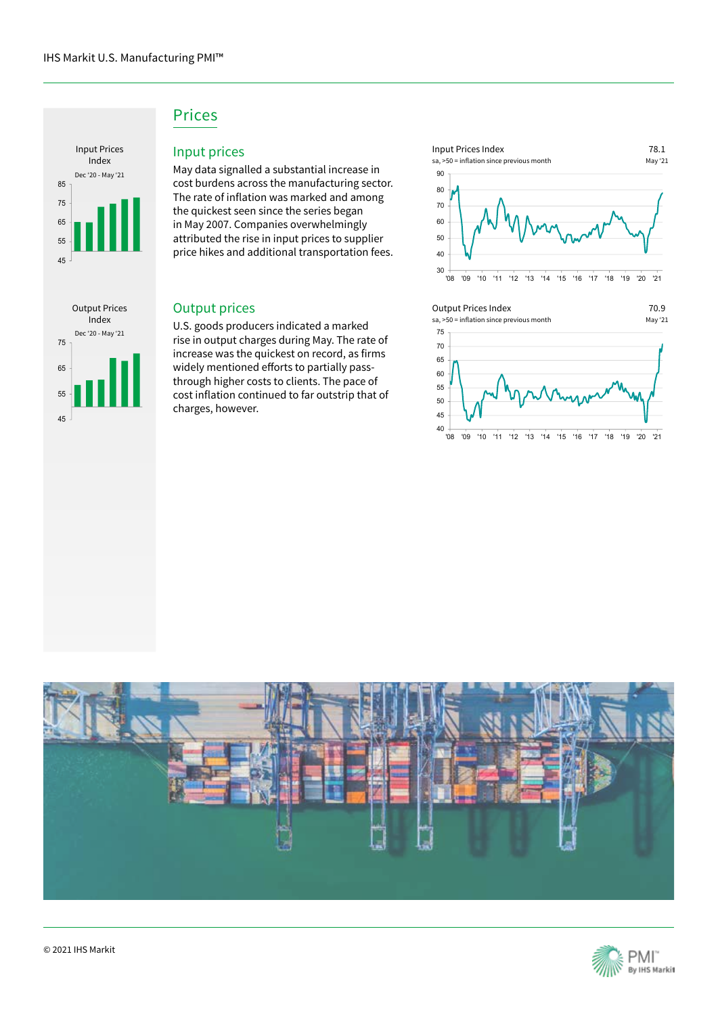

Output Prices Index

Dec '20 - May '21

45

55

65

75

# Prices

### Input prices

May data signalled a substantial increase in cost burdens across the manufacturing sector. The rate of inflation was marked and among the quickest seen since the series began in May 2007. Companies overwhelmingly attributed the rise in input prices to supplier price hikes and additional transportation fees.

### Output prices

U.S. goods producers indicated a marked rise in output charges during May. The rate of increase was the quickest on record, as firms widely mentioned efforts to partially passthrough higher costs to clients. The pace of cost inflation continued to far outstrip that of charges, however.



#### Output Prices Index

sa, >50 = inflation since previous month



70.9



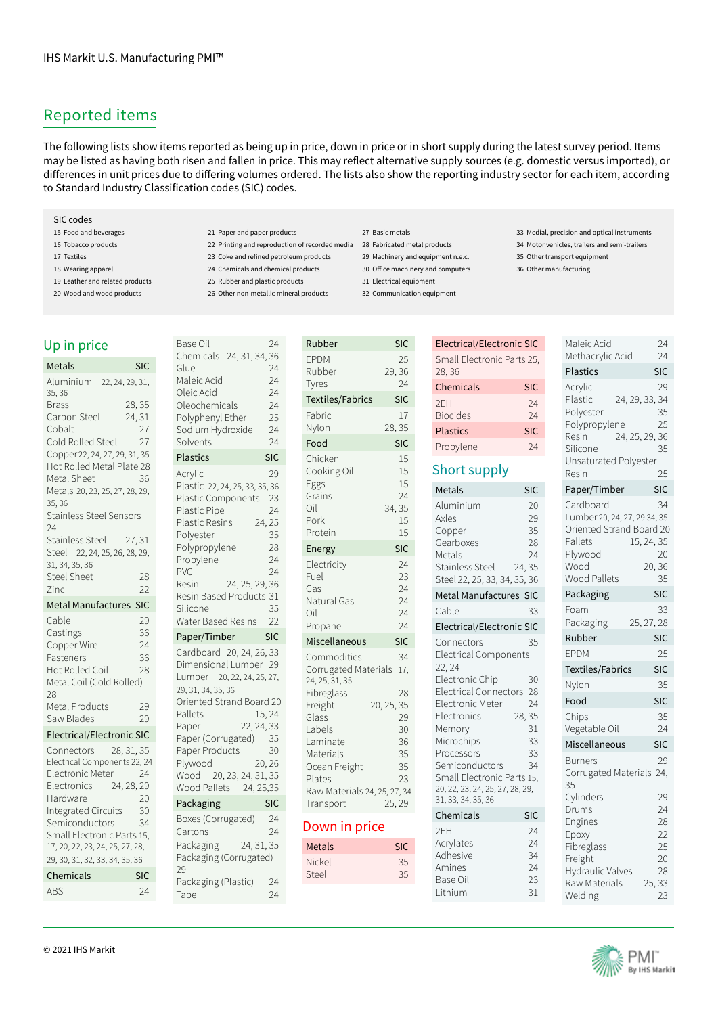# Reported items

The following lists show items reported as being up in price, down in price or in short supply during the latest survey period. Items may be listed as having both risen and fallen in price. This may reflect alternative supply sources (e.g. domestic versus imported), or differences in unit prices due to differing volumes ordered. The lists also show the reporting industry sector for each item, according to Standard Industry Classification codes (SIC) codes.

#### SIC codes

- 15 Food and beverages
- 16 Tobacco products
- 17 Textiles

Up in pr Metals Aluminium 35, 36 **Brass** 

- 18 Wearing apparel
- 19 Leather and related products
- 20 Wood and wood products

#### 21 Paper and paper products

- 22 Printing and reproduction of recorded media 28 Fabricated metal products
- 23 Coke and refined petroleum products
- 24 Chemicals and chemical products
- 25 Rubber and plastic products 26 Other non-metallic mineral products

- 27 Basic metals
- 
- 29 Machinery and equipment n.e.c.
- 30 Office machinery and computers
- 31 Electrical equipment
- 32 Communication equipment
- 33 Medial, precision and optical instruments

Maleic Acid 24

- 34 Motor vehicles, trailers and semi-trailers
	- 35 Other transport equipment
	- 36 Other manufacturing

Electrical/Electronic SIC

| Small Electronic Parts 25,<br><b>Plastics</b><br>28,36<br>Chemicals<br><b>SIC</b><br>Acrylic<br>24, 29, 33, 34<br>Plastic<br>2FH<br>24<br>Polyester<br><b>Biocides</b><br>24<br>Polypropylene<br><b>Plastics</b><br><b>SIC</b><br>24, 25, 29, 36<br>Resin<br>Propylene<br>24<br>Silicone<br>Unsaturated Polyester<br>Short supply<br>Resin<br>Paper/Timber<br>Metals<br><b>SIC</b><br>Cardboard<br>Aluminium<br>20<br>Lumber 20, 24, 27, 29 34, 35<br>29<br>Axles<br>Oriented Strand Board 20<br>35<br>Copper | <b>SIC</b><br>29<br>35<br>25<br>35<br>25<br><b>SIC</b><br>34<br>20 |
|---------------------------------------------------------------------------------------------------------------------------------------------------------------------------------------------------------------------------------------------------------------------------------------------------------------------------------------------------------------------------------------------------------------------------------------------------------------------------------------------------------------|--------------------------------------------------------------------|
|                                                                                                                                                                                                                                                                                                                                                                                                                                                                                                               |                                                                    |
|                                                                                                                                                                                                                                                                                                                                                                                                                                                                                                               |                                                                    |
|                                                                                                                                                                                                                                                                                                                                                                                                                                                                                                               |                                                                    |
|                                                                                                                                                                                                                                                                                                                                                                                                                                                                                                               |                                                                    |
|                                                                                                                                                                                                                                                                                                                                                                                                                                                                                                               |                                                                    |
|                                                                                                                                                                                                                                                                                                                                                                                                                                                                                                               |                                                                    |
|                                                                                                                                                                                                                                                                                                                                                                                                                                                                                                               |                                                                    |
| Pallets<br>15, 24, 35<br>28<br>Gearboxes<br>Plywood<br>Metals<br>24<br>Wood<br>Stainless Steel<br>24, 35<br><b>Wood Pallets</b><br>Steel 22, 25, 33, 34, 35, 36                                                                                                                                                                                                                                                                                                                                               | 20,36<br>35                                                        |
| Metal Manufactures SIC<br>Packaging                                                                                                                                                                                                                                                                                                                                                                                                                                                                           | <b>SIC</b>                                                         |
| Foam<br>Cable<br>33                                                                                                                                                                                                                                                                                                                                                                                                                                                                                           | 33                                                                 |
| Packaging<br>25, 27, 28<br>Electrical/Electronic SIC                                                                                                                                                                                                                                                                                                                                                                                                                                                          |                                                                    |
| Rubber<br>35<br>Connectors                                                                                                                                                                                                                                                                                                                                                                                                                                                                                    | <b>SIC</b>                                                         |
| <b>FPDM</b><br><b>Electrical Components</b><br>22, 24                                                                                                                                                                                                                                                                                                                                                                                                                                                         | 25                                                                 |
| <b>Textiles/Fabrics</b><br>Electronic Chip<br>30                                                                                                                                                                                                                                                                                                                                                                                                                                                              | <b>SIC</b>                                                         |
| Nylon<br>Electrical Connectors<br>28                                                                                                                                                                                                                                                                                                                                                                                                                                                                          | 35                                                                 |
| Food<br>Electronic Meter<br>24                                                                                                                                                                                                                                                                                                                                                                                                                                                                                | <b>SIC</b>                                                         |
| 28, 35<br>Electronics<br>Chips<br>31<br>Vegetable Oil<br>Memory                                                                                                                                                                                                                                                                                                                                                                                                                                               | 35<br>24                                                           |
| Microchips<br>33<br>Miscellaneous                                                                                                                                                                                                                                                                                                                                                                                                                                                                             | <b>SIC</b>                                                         |
| Processors<br>33<br><b>Burners</b><br>Semiconductors<br>34<br>Corrugated Materials 24,<br>Small Electronic Parts 15,<br>35<br>20, 22, 23, 24, 25, 27, 28, 29,<br>Cylinders<br>31, 33, 34, 35, 36                                                                                                                                                                                                                                                                                                              | 29<br>29                                                           |
| Drums<br>Chemicals<br><b>SIC</b><br>Engines                                                                                                                                                                                                                                                                                                                                                                                                                                                                   | 24<br>28                                                           |
| 2EH<br>24<br>Epoxy<br>Acrylates<br>24<br>Fibreglass<br>Adhesive<br>34<br>Freight<br>Amines<br>24<br>Hydraulic Valves<br>23<br>Base Oil<br>Raw Materials<br>Lithium<br>31<br>Welding                                                                                                                                                                                                                                                                                                                           | 22<br>25<br>20<br>28<br>25, 33<br>23                               |

| Up in price                                                                                                                                                                                                                                                              |                              | <b>Base Oil</b>                                                                                                                                                                                                              | 24                                                     |
|--------------------------------------------------------------------------------------------------------------------------------------------------------------------------------------------------------------------------------------------------------------------------|------------------------------|------------------------------------------------------------------------------------------------------------------------------------------------------------------------------------------------------------------------------|--------------------------------------------------------|
| <b>Metals</b>                                                                                                                                                                                                                                                            | <b>SIC</b>                   | Chemicals 24, 31, 34, 36<br>Glue                                                                                                                                                                                             | 24                                                     |
| Aluminium 22, 24, 29, 31,<br>35, 36<br><b>Brass</b><br>Carbon Steel<br>Cobalt<br>Cold Rolled Steel                                                                                                                                                                       | 28, 35<br>24, 31<br>27<br>27 | Maleic Acid<br>Oleic Acid<br>Oleochemicals<br>Polyphenyl Ether<br>Sodium Hydroxide<br>Solvents                                                                                                                               | 24<br>24<br>24<br>25<br>24<br>24                       |
| Copper 22, 24, 27, 29, 31, 35                                                                                                                                                                                                                                            |                              | <b>Plastics</b>                                                                                                                                                                                                              | <b>SIC</b>                                             |
| Hot Rolled Metal Plate 28<br>Metal Sheet<br>Metals 20, 23, 25, 27, 28, 29,<br>35, 36<br><b>Stainless Steel Sensors</b><br>24<br>Stainless Steel 27, 31<br>Steel 22, 24, 25, 26, 28, 29,<br>31, 34, 35, 36<br><b>Steel Sheet</b><br>Zinc<br><b>Metal Manufactures SIC</b> | 36<br>28<br>22               | Acrylic<br>Plastic 22, 24, 25, 33, 35, 36<br>Plastic Components<br><b>Plastic Pipe</b><br>Plastic Resins<br>Polyester<br>Polypropylene<br>Propylene<br>PVC<br>24, 25, 29, 36<br>Resin<br>Resin Based Products 31<br>Silicone | 29<br>23<br>24<br>24, 25<br>35<br>28<br>24<br>24<br>35 |
| Cable                                                                                                                                                                                                                                                                    | 29                           | Water Based Resins                                                                                                                                                                                                           | 22                                                     |
| Castings                                                                                                                                                                                                                                                                 | 36                           | Paper/Timber                                                                                                                                                                                                                 | <b>SIC</b>                                             |
| Copper Wire<br>Fasteners<br>Hot Rolled Coil<br>Metal Coil (Cold Rolled)<br>28<br>Metal Products<br>Saw Blades                                                                                                                                                            | 24<br>36<br>28<br>29<br>29   | Cardboard 20, 24, 26, 33<br>Dimensional Lumber 29<br>Lumber 20, 22, 24, 25, 27,<br>29, 31, 34, 35, 36<br>Oriented Strand Board 20<br>Pallets<br>22, 24, 33                                                                   | 15,24                                                  |
| Electrical/Electronic SIC                                                                                                                                                                                                                                                |                              | Paper<br>Paper (Corrugated)                                                                                                                                                                                                  | 35                                                     |
| Connectors 28, 31, 35<br>Electrical Components 22, 24<br>Electronic Meter<br>Electronics 24, 28, 29                                                                                                                                                                      | 24                           | Paper Products<br>20, 26<br>Plywood<br>Wood 20, 23, 24, 31, 35<br>Wood Pallets 24, 25,35                                                                                                                                     | 30                                                     |
| Hardware<br>Integrated Circuits                                                                                                                                                                                                                                          | 20<br>30                     | Packaging                                                                                                                                                                                                                    | <b>SIC</b>                                             |
|                                                                                                                                                                                                                                                                          |                              |                                                                                                                                                                                                                              | 24                                                     |
| Semiconductors<br>Small Electronic Parts 15,<br>17, 20, 22, 23, 24, 25, 27, 28,<br>29, 30, 31, 32, 33, 34, 35, 36                                                                                                                                                        | 34                           | Boxes (Corrugated)<br>Cartons<br>Packaging 24, 31, 35<br>Packaging (Corrugated)<br>29                                                                                                                                        | 24                                                     |
| Chemicals                                                                                                                                                                                                                                                                | <b>SIC</b>                   | Packaging (Plastic)                                                                                                                                                                                                          | 24                                                     |
| ABS                                                                                                                                                                                                                                                                      | 24                           | Tape                                                                                                                                                                                                                         | 24                                                     |

| Maleic Acid<br>Oleic Acid<br>Oleochemicals<br>Polyphenyl Ether<br>Sodium Hydroxide<br>Solvents                                                                                                                                                                                           | 24<br>24<br>24<br>25<br>24<br>24                   |
|------------------------------------------------------------------------------------------------------------------------------------------------------------------------------------------------------------------------------------------------------------------------------------------|----------------------------------------------------|
| <b>Plastics</b>                                                                                                                                                                                                                                                                          | SIC                                                |
| Acrylic<br>Plastic 22, 24, 25, 33, 35, 36<br>Plastic Components<br>Plastic Pipe<br>24, 25<br><b>Plastic Resins</b><br>Polvester<br>Polypropylene<br>Propylene<br>PVC<br>24, 25, 29, 36<br>Resin<br>Resin Based Products 31<br>Silicone<br>Water Based Resins                             | 29<br>23<br>24<br>35<br>28<br>24<br>24<br>35<br>22 |
| Paper/Timber                                                                                                                                                                                                                                                                             | <b>SIC</b>                                         |
| Cardboard 20, 24, 26, 33<br>Dimensional Lumber 29<br>Lumber 20, 22, 24, 25, 27,<br>29, 31, 34, 35, 36<br>Oriented Strand Board 20<br>Pallets<br>22, 24, 33<br>Paper<br>Paper (Corrugated)<br>Paper Products<br>Plywood<br>20, 26<br>20, 23, 24, 31, 35<br>Wood<br>Wood Pallets 24, 25,35 | 15, 24<br>35<br>30                                 |
|                                                                                                                                                                                                                                                                                          |                                                    |
| Packaging                                                                                                                                                                                                                                                                                | <b>SIC</b>                                         |
| Boxes (Corrugated)<br>Cartons<br>24, 31, 35<br>Packaging<br>Packaging (Corrugated)<br>29                                                                                                                                                                                                 | 24<br>24                                           |

| Rubber                                                                                                                                                                                             | <b>SIC</b>                                                                  |
|----------------------------------------------------------------------------------------------------------------------------------------------------------------------------------------------------|-----------------------------------------------------------------------------|
| <b>EPDM</b><br>Rubber<br>Tyres                                                                                                                                                                     | 25<br>29,36<br>24                                                           |
| <b>Textiles/Fabrics</b>                                                                                                                                                                            | SIC                                                                         |
| Fabric<br>Nylon                                                                                                                                                                                    | 17<br>28, 35                                                                |
| Food                                                                                                                                                                                               | <b>SIC</b>                                                                  |
| Chicken<br>Cooking Oil<br>Eggs<br>Grains<br>Oil<br>Pork<br>Protein                                                                                                                                 | 15<br>15<br>15<br>24<br>34, 35<br>15<br>15                                  |
| Energy                                                                                                                                                                                             | SIC                                                                         |
| Electricity<br>Fuel<br>Gas<br>Natural Gas<br>Oil<br>Propane                                                                                                                                        | 24<br>23<br>24<br>24<br>24<br>24                                            |
| Miscellaneous                                                                                                                                                                                      | SIC                                                                         |
| Commodities<br>Corrugated Materials<br>24, 25, 31, 35<br>Fibreglass<br>Freight<br>Glass<br>Labels<br>Laminate<br>Materials<br>Ocean Freight<br>Plates<br>Raw Materials 24, 25, 27, 34<br>Transport | 34<br>17,<br>28<br>20, 25, 35<br>29<br>30<br>36<br>35<br>35<br>23<br>25, 29 |
| Down in price                                                                                                                                                                                      |                                                                             |
| Metals                                                                                                                                                                                             | SIC                                                                         |
| Nickel<br>Steel                                                                                                                                                                                    | 35<br>35                                                                    |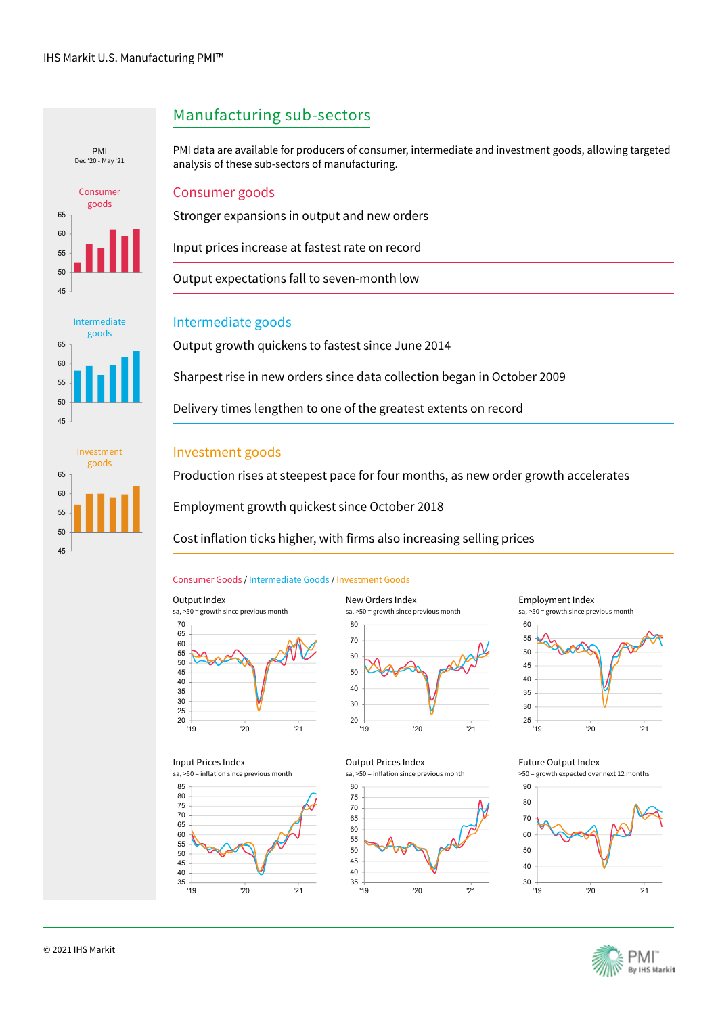







### Manufacturing sub-sectors

PMI data are available for producers of consumer, intermediate and investment goods, allowing targeted Dec '20 - May '21 analysis of these sub-sectors of manufacturing.

### Consumer goods

Stronger expansions in output and new orders

Input prices increase at fastest rate on record

Output expectations fall to seven-month low

### Intermediate goods

Output growth quickens to fastest since June 2014

Sharpest rise in new orders since data collection began in October 2009

Delivery times lengthen to one of the greatest extents on record

### Investment goods

Production rises at steepest pace for four months, as new order growth accelerates

Employment growth quickest since October 2018

Cost inflation ticks higher, with firms also increasing selling prices

#### Consumer Goods / Intermediate Goods / Investment Goods



Input Prices Index





'19 '20 '21

'19 '20 '21

sa, >50 = inflation since previous month

Output Prices Index





#### Future Output Index

>50 = growth expected over next 12 months





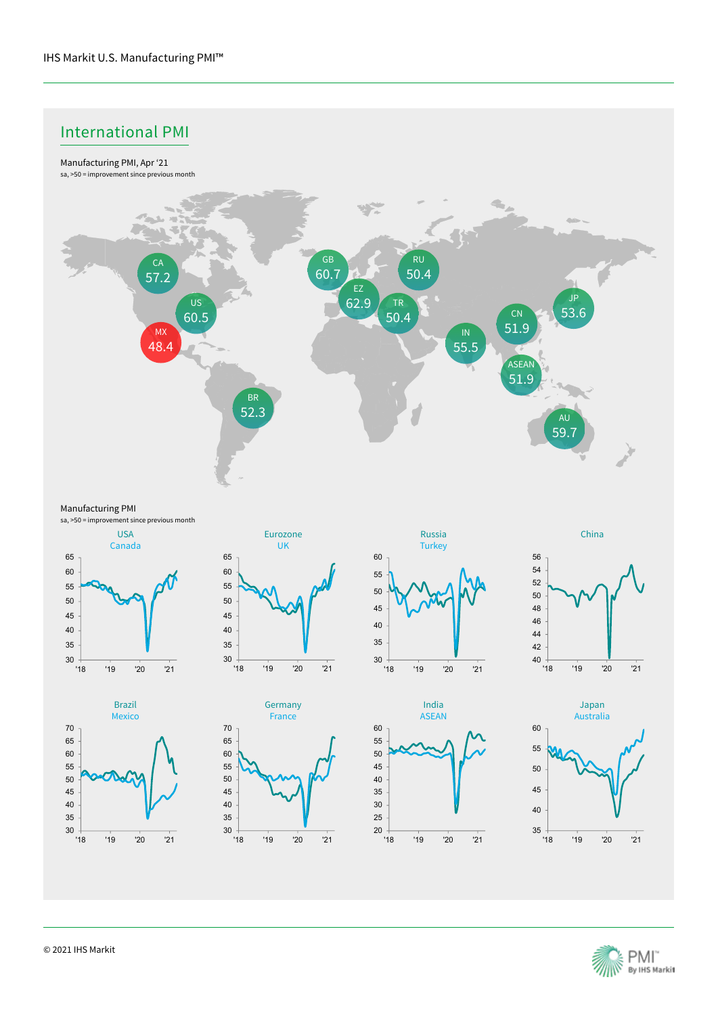# International PMI



Manufacturing PMI

sa, >50 = improvement since previous month

















'18 '19 '20 '21

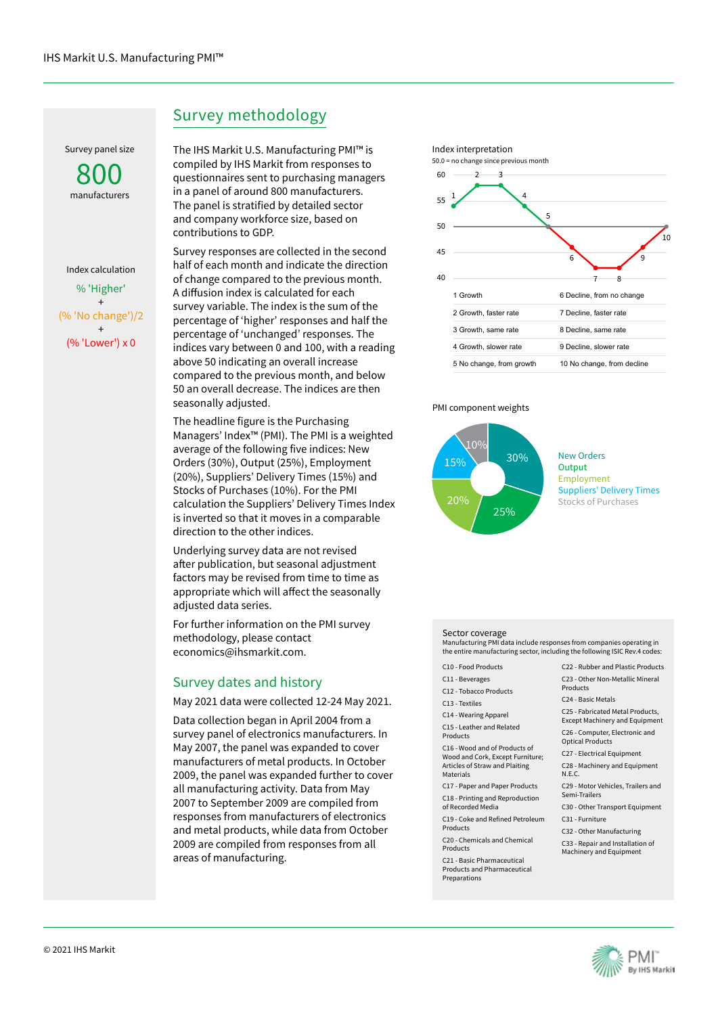Survey panel size

manufacturers 800

% 'Higher' + (% 'No change')/2 + (% 'Lower') x 0 Index calculation

# Survey methodology

The IHS Markit U.S. Manufacturing PMI™ is compiled by IHS Markit from responses to questionnaires sent to purchasing managers in a panel of around 800 manufacturers. The panel is stratified by detailed sector and company workforce size, based on contributions to GDP.

Survey responses are collected in the second half of each month and indicate the direction of change compared to the previous month. A diffusion index is calculated for each survey variable. The index is the sum of the percentage of 'higher' responses and half the percentage of 'unchanged' responses. The indices vary between 0 and 100, with a reading above 50 indicating an overall increase compared to the previous month, and below 50 an overall decrease. The indices are then seasonally adjusted.

The headline figure is the Purchasing Managers' Index™ (PMI). The PMI is a weighted average of the following five indices: New Orders (30%), Output (25%), Employment (20%), Suppliers' Delivery Times (15%) and Stocks of Purchases (10%). For the PMI calculation the Suppliers' Delivery Times Index is inverted so that it moves in a comparable direction to the other indices.

Underlying survey data are not revised after publication, but seasonal adjustment factors may be revised from time to time as appropriate which will affect the seasonally adjusted data series.

For further information on the PMI survey methodology, please contact economics@ihsmarkit.com.

### Survey dates and history

May 2021 data were collected 12-24 May 2021.

Data collection began in April 2004 from a survey panel of electronics manufacturers. In May 2007, the panel was expanded to cover manufacturers of metal products. In October 2009, the panel was expanded further to cover all manufacturing activity. Data from May 2007 to September 2009 are compiled from responses from manufacturers of electronics and metal products, while data from October 2009 are compiled from responses from all areas of manufacturing.



#### PMI component weights



New Orders **Output** Employment Suppliers' Delivery Times Stocks of Purchases

#### Sector coverage

Manufacturing PMI data include responses from companies operating in the entire manufacturing sector, including the following ISIC Rev.4 codes:

- C10 Food Products
- C11 Beverages
- C12 Tobacco Products
- C13 Textiles
- C14 Wearing Apparel
- C15 Leather and Related Products

C16 - Wood and of Products of Wood and Cork, Except Furniture; Articles of Straw and Plaiting **Materials** 

- C17 Paper and Paper Products
- C18 Printing and Reproduction of Recorded Media
- C19 Coke and Refined Petroleum
- Products C20 - Chemicals and Chemical
- Products

C21 - Basic Pharmaceutical Products and Pharmaceutical Preparations

- C22 Rubber and Plastic Products C23 - Other Non-Metallic Mineral Products
- C24 Basic Metals
- C25 Fabricated Metal Products,
- Except Machinery and Equipment C26 - Computer, Electronic and
- Optical Products
- C27 Electrical Equipment
- C28 Machinery and Equipment N.E.C.
- C29 Motor Vehicles, Trailers and Semi-Trailers
- C30 Other Transport Equipment
- C31 Furniture
- C32 Other Manufacturing
- C33 Repair and Installation of Machinery and Equipment